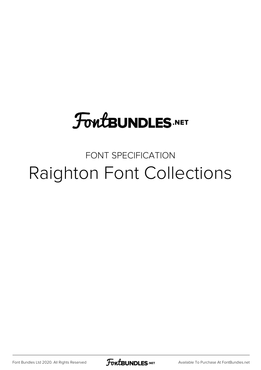### **FoutBUNDLES.NET**

#### FONT SPECIFICATION Raighton Font Collections

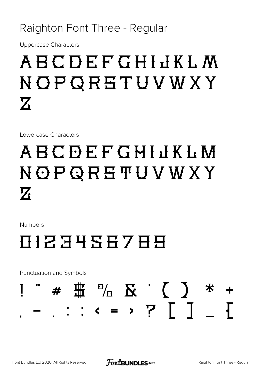#### Raighton Font Three - Regular

**Uppercase Characters** 

### ABCDEFGHIJKLM NOPQRETUVWXY  $\mathbf{Z}$

Lowercase Characters

### ABCDEFGHIKLM NOPQRETUVWXY  $\overline{Y}_1$

**Numbers** 

### 0123456789

Punctuation and Symbols # # 4 2 2 3 4 4 I . . . . . = > ? [ ] \_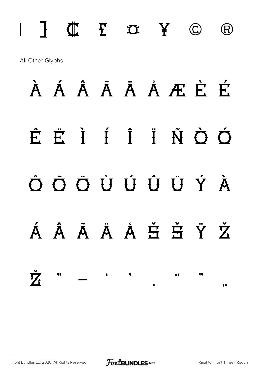| } ¢ £ ¤ ¥ © ® All Other Glyphs

## À Á Â Ã Ä Å Æ È É Ê Ë Ì Í Î Ï Ñ Ò Ó Ô Õ Ö Ù Ú Û Ü Ý à á â ã ä å Š š Ÿ Ž  $\mathbf{Z}$  " — ' ' ' " " "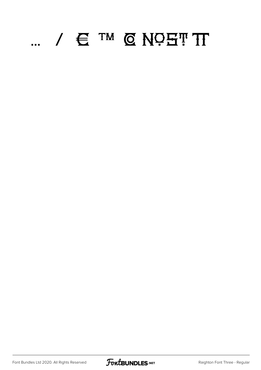#### " / € TM © NOHT TT

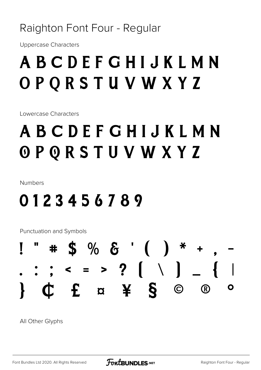#### Raighton Font Four - Regular

**Uppercase Characters** 

### ABCDEFGHIJKLMN **OPORSTUVWXYZ**

Lowercase Characters

### ABCDEFGHIJKLMN OPORSTUVWXYZ

**Numbers** 

#### 0123456789

Punctuation and Symbols



All Other Glyphs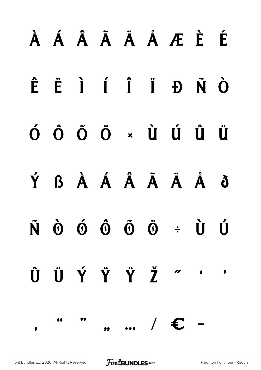### À Á Â Ã Ä Å Æ È É  $\ddot{E}$  i i i i Ê ĐÑÒ ÓÔÕÖ×ÙÚÛ Ü Ý BÀÁÂÂÄÄÅ  $\tilde{N}$   $\dot{\odot}$   $\acute{\odot}$   $\tilde{\odot}$   $\ddot{\odot}$   $\ddot{\odot}$   $\ddot{\odot}$   $\ddot{\odot}$   $\ddot{\odot}$ Ú ÜÝŸŸŽ Û  $\boldsymbol{H}$  $\bullet$

 $\bullet$ 

66

99

99

 $\ldots$  /  $\in$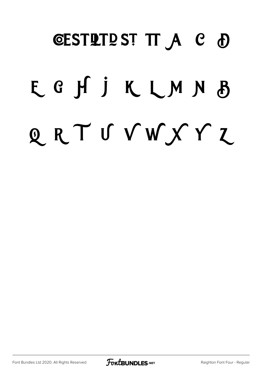# CESTRIPS! IT A C D EGHJKLMNB QRTUVWXYZ

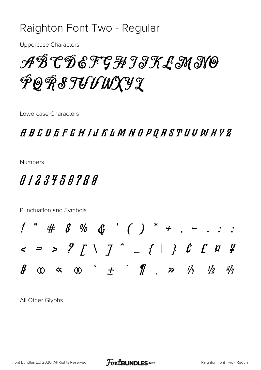#### Raighton Font Two - Regular

**Uppercase Characters** 

AB CDEF GH TIKLM NO PQRSTITUXYT

Lowercase Characters

#### *ABCDGFGHIJKLMNDPQRSTUVWHYZ*

**Numbers** 

#### *NI 2 3 4 5 6 7 8 9*

Punctuation and Symbols  $\ll \quad \textcircled{R} \quad \textcircled{f} \quad \pm \quad \textcircled{f} \quad \textcircled{g} \quad \Rightarrow \quad \textcircled{f} \quad \textcircled{f} \quad \textcircled{f}$  $\oint$  $\frac{3}{4}$  $\mathbb{G}$ 

All Other Glyphs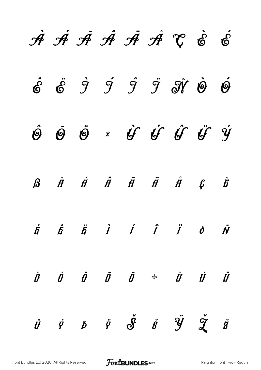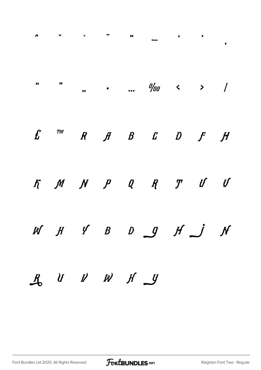|  | $\begin{array}{ccccccccccccccccc} \vspace{0.1cm} \vspace{0.1cm} \vspace{0.1cm} \vspace{0.1cm} \vspace{0.1cm} \vspace{0.1cm} \vspace{0.1cm} \vspace{0.1cm} \vspace{0.1cm} \vspace{0.1cm} \vspace{0.1cm} \vspace{0.1cm} \vspace{0.1cm} \vspace{0.1cm} \vspace{0.1cm} \vspace{0.1cm} \vspace{0.1cm} \vspace{0.1cm} \vspace{0.1cm} \vspace{0.1cm} \vspace{0.1cm} \vspace{0.1cm} \vspace{0.1cm} \v$ |  |  |  |
|--|------------------------------------------------------------------------------------------------------------------------------------------------------------------------------------------------------------------------------------------------------------------------------------------------------------------------------------------------------------------------------------------------|--|--|--|
|  |                                                                                                                                                                                                                                                                                                                                                                                                |  |  |  |
|  | $\begin{array}{ccccccccccccccccc}\nE & & ^{TM} & & R & & \mathcal{A} & & \mathcal{B} & & \mathcal{C} & & D & & \mathcal{F} & & \mathcal{H}\n\end{array}$                                                                                                                                                                                                                                       |  |  |  |
|  | $K \quad M \quad N \quad P \quad Q \quad R \quad T \quad U \quad U$                                                                                                                                                                                                                                                                                                                            |  |  |  |
|  | $M$ $H$ $Y$ $B$ $D$ $J$ $H$ $J$ $M$                                                                                                                                                                                                                                                                                                                                                            |  |  |  |
|  | $\begin{array}{ccccccccccccc} & R & U & N & M & M & J^{\prime} & \end{array}$                                                                                                                                                                                                                                                                                                                  |  |  |  |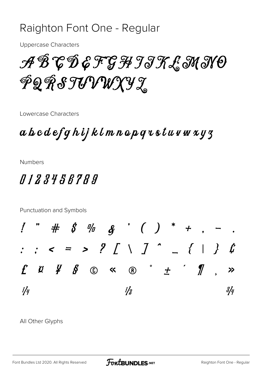#### Raighton Font One - Regular

**Uppercase Characters** 

AÊ CỐ EFGHIIKLMNO PQŔSTIVWXYZ

Lowercase Characters

a b e d e f g h i j k l m n o p q r s t u v w x y z

**Numbers** 

#### *NI 2 3 4 5 6 7 8 9*

Punctuation and Symbols : ; < = > ?  $\int$  \  $\int$  ^ \_ { | }  $\oint$  $\frac{1}{2}$   $\frac{1}{2}$   $\frac{1}{2}$  $f$   $g$   $g$   $g$   $g$   $\infty$  $\circledR$  $\rightarrow$  $1/y$  $1/2$  $\frac{3}{4}$ 

All Other Glyphs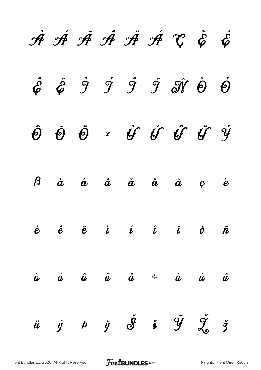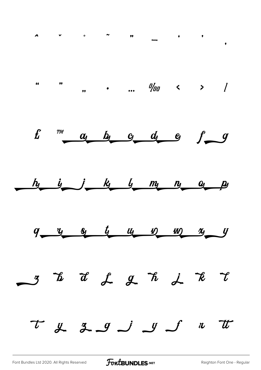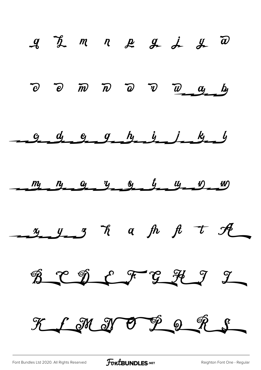